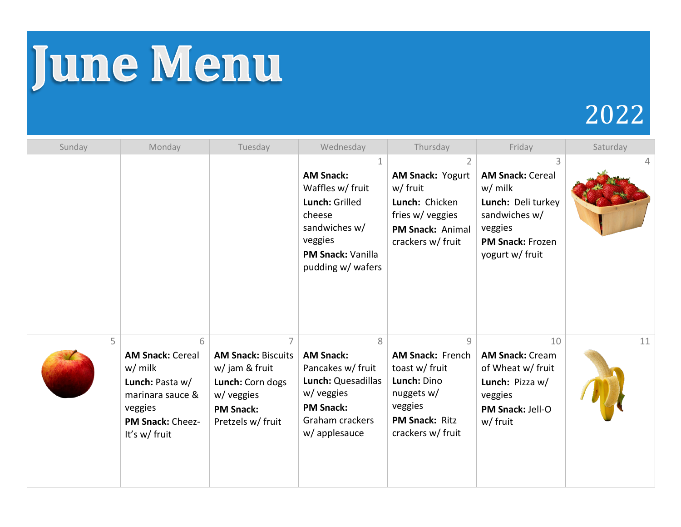## June Menu

## 2022

| Sunday | Monday                                                                                                                           | Tuesday                                                                                                                | Wednesday                                                                                                                              | Thursday                                                                                                                               | Friday                                                                                                                               | Saturday |
|--------|----------------------------------------------------------------------------------------------------------------------------------|------------------------------------------------------------------------------------------------------------------------|----------------------------------------------------------------------------------------------------------------------------------------|----------------------------------------------------------------------------------------------------------------------------------------|--------------------------------------------------------------------------------------------------------------------------------------|----------|
|        |                                                                                                                                  |                                                                                                                        | <b>AM Snack:</b><br>Waffles w/ fruit<br>Lunch: Grilled<br>cheese<br>sandwiches w/<br>veggies<br>PM Snack: Vanilla<br>pudding w/ wafers | AM Snack: Yogurt<br>w/ fruit<br>Lunch: Chicken<br>fries w/ veggies<br>PM Snack: Animal<br>crackers w/ fruit                            | <b>AM Snack: Cereal</b><br>$w/m$ ilk<br>Lunch: Deli turkey<br>sandwiches w/<br>veggies<br><b>PM Snack: Frozen</b><br>yogurt w/ fruit |          |
| 5      | 6<br><b>AM Snack: Cereal</b><br>$w/m$ ilk<br>Lunch: Pasta w/<br>marinara sauce &<br>veggies<br>PM Snack: Cheez-<br>It's w/ fruit | <b>AM Snack: Biscuits</b><br>w/ jam & fruit<br>Lunch: Corn dogs<br>w/ veggies<br><b>PM Snack:</b><br>Pretzels w/ fruit | 8<br><b>AM Snack:</b><br>Pancakes w/ fruit<br>Lunch: Quesadillas<br>w/ veggies<br><b>PM Snack:</b><br>Graham crackers<br>w/ applesauce | 9<br><b>AM Snack: French</b><br>toast w/ fruit<br>Lunch: Dino<br>nuggets $w/$<br>veggies<br><b>PM Snack: Ritz</b><br>crackers w/ fruit | 10<br><b>AM Snack: Cream</b><br>of Wheat w/ fruit<br>Lunch: Pizza w/<br>veggies<br><b>PM Snack: Jell-O</b><br>w/ fruit               | 11       |